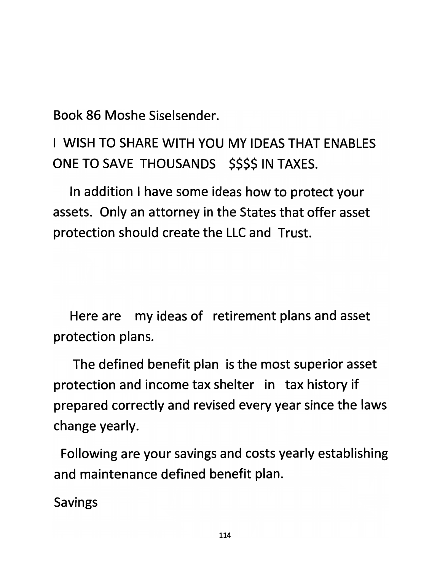*Book 86 Moshe Siselsender.*

*I WISH TO SHARE WITH YOU MY IDEAS THAT ENABLES ONE TO SAVE THOUSANDS \$\$\$\$ IN TAXES.*

*In addition I have some ideas how to protect your assets. Only an attorney in the States that offer asset protection should create the LLC and Trust.*

*Here are my ideas of retirement plans and asset protection plans.*

*The defined benefit plan is the most superior asset protection and income tax shelter in tax history if prepared correctly and revised every year since the laws change yearly.*

*Following are your savings and costs yearly establishing and maintenance defined benefit plan.*

*Savings*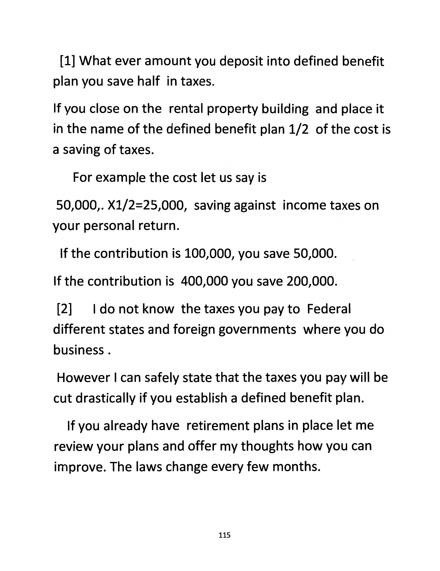*[1] What ever amount you deposit into defined benefit plan you save half in taxes.*

*If you close on the rental property building and place it in the name of the defined benefit plan 1/2 of the cost is a saving of taxes.*

*For example the cost let us say is*

*50,000,. Xl/2=25,000, saving against income taxes on your personal return.*

*If the contribution is 100,000, you save 50,000.*

*If the contribution is 400,000 you save 200,000.*

*[2] I do not know the taxes you pay to Federal different states and foreign governments where you do business.*

*However I can safely state that the taxes you pay will be cut drastically if you establish a defined benefit plan.*

*If you already have retirement plans in place let me review your plans and offer my thoughts how you can improve. The laws change every few months.*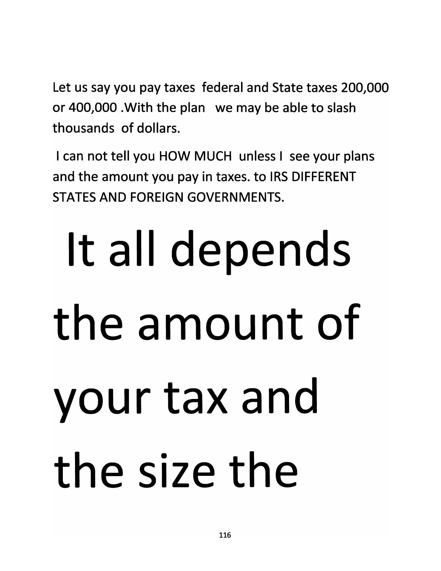*Let us say you pay taxes federal and State taxes 200,000 or 400,000 .With the plan we may be able to slash thousands of dollars.*

*I can not tell you HOW MUCH unless I see your plans and the amount you pay in taxes, to IRS DIFFERENT STATES AND FOREIGN GOVERNMENTS.*

# *It all depends the amount of your tax and the size the*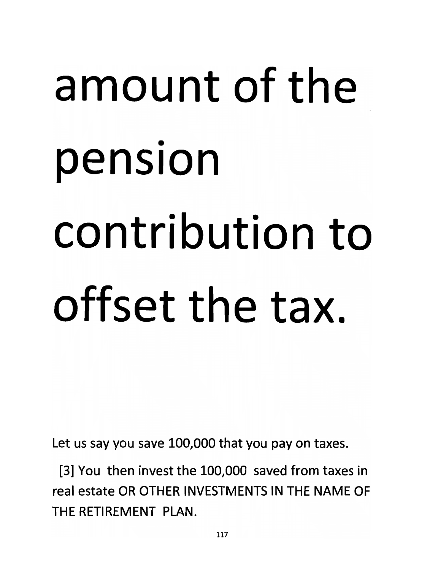# *amount of the pension contribution to offset the tax.*

*Let us say you save 100,000 that you pay on taxes.*

*[3] You then invest the 100,000 saved from taxes in real estate OR OTHER INVESTMENTS IN THE NAME OF THE RETIREMENT PLAN.*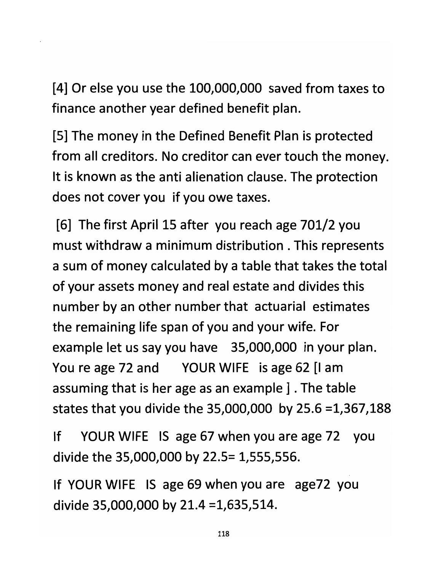*[4] Or else you use the 100,000,000 saved from taxes to finance another year defined benefit plan.*

*[5] The money in the Defined Benefit Plan is protected from all creditors. No creditor can ever touch the money. It is known as the anti alienation clause. The protection does not cover you if you owe taxes.*

*[6] The first April 15 after you reach age 701/2 you must withdraw a minimum distribution . This represents a sum of money calculated by a table that takes the total of your assets money and real estate and divides this number by an other number that actuarial estimates the remaining life span of you and your wife. For example let us say you have 35,000,000 in your plan. You re age 72 and YOUR WIFE is age 62 [I am assuming that is her age as an example ]. The table states that you divide the 35,000,000 by 25.6 =1,367,188*

*If YOUR WIFE IS age 67 when you are age 72 you divide the 35,000,000 by 22.5= 1,555,556.*

*If YOUR WIFE IS age 69 when you are age72 you divide 35,000,000 by 21.4 =1,635,514.*

*118*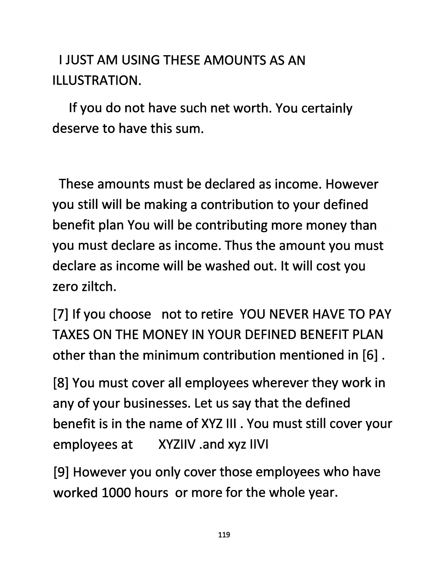#### *I JUST AM USING THESE AMOUNTS AS AN ILLUSTRATION.*

*If you do not have such net worth. You certainly deserve to have this sum.*

*These amounts must be declared as income. However you still will be making a contribution to your defined benefit plan You will be contributing more money than you must declare as income. Thus the amount you must declare as income will be washed out. It will cost you zero ziltch.*

*[7] If you choose not to retire YOU NEVER HAVE TO PAY TAXES ON THE MONEY IN YOUR DEFINED BENEFIT PLAN other than the minimum contribution mentioned in [6].*

*[8] You must cover all employees wherever they work in any of your businesses. Let us say that the defined benefit is in the name of XYZ III. You must still cover your employees at XYZIIV .and xyz IIVI*

*[9] However you only cover those employees who have worked 1000 hours or more for the whole year.*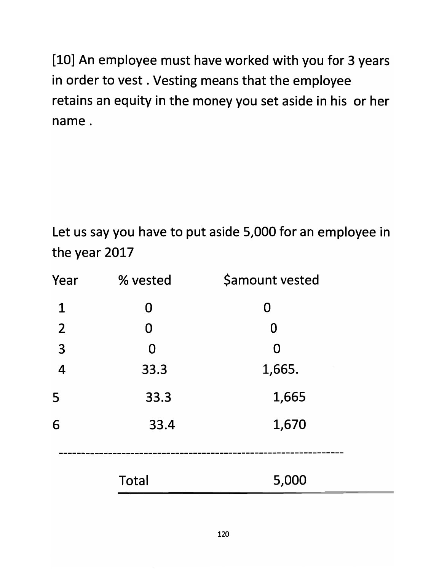*[10] An employee must have worked with you for 3 years in order to vest. Vesting means that the employee retains an equity in the money you set aside in his or her name.*

*Let us say you have to pu<sup>t</sup> aside 5,000 for an employee in the year 2017*

| Year                    | % vested     | <b>\$amount vested</b> |  |
|-------------------------|--------------|------------------------|--|
| $\mathbf 1$             | 0            | 0                      |  |
| $\overline{2}$          | 0            | 0                      |  |
| $\overline{\mathbf{3}}$ | 0            | O                      |  |
| $\overline{\mathbf{4}}$ | 33.3         | 1,665.                 |  |
| 5                       | 33.3         | 1,665                  |  |
| 6                       | 33.4         | 1,670                  |  |
|                         |              |                        |  |
|                         | <b>Total</b> | 5,000                  |  |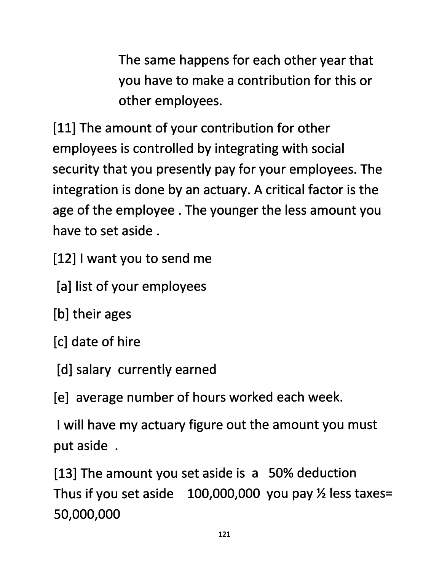*The same happens for each other year that you have to make a contribution for this or other employees.*

*[11] The amount of your contribution for other employees is controlled by integrating with social security that you presently pay for your employees. The integration is done by an actuary. A critical factor is the age of the employee . The younger the less amount you have to set aside .*

*[12] Iwant you to send me*

*[a] list of your employees*

*[b] their ages*

*[c] date of hire*

*[d] salary currently earned*

*[e] average number of hours worked each week.*

*I will have my actuary figure out the amount you must put aside .*

*[13] The amount you set aside is a 50% deduction Thus if you set aside 100,000,000 you pay Vi less taxes= 50,000,000*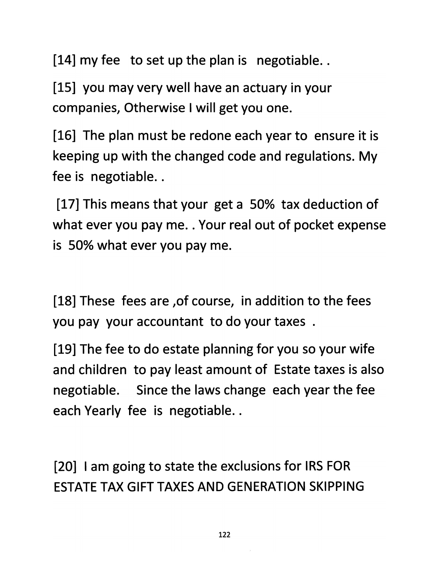*[14] my fee to set up the plan is negotiable..*

*[15] you may very well have an actuary in your companies, Otherwise I will get you one.*

*[16] The plan must be redone each year to ensure it is keeping up with the changed code and regulations. My fee is negotiable..*

*[17] This means that your get a 50% tax deduction of what ever you pay me.. Your real out of pocket expense is 50% what ever you pay me.*

*[18] These fees are ,of course, in addition to the fees you pay your accountant to do your taxes .*

*[19] The fee to do estate planning for you so your wife and children to pay least amount of Estate taxes is also negotiable. Since the laws change each year the fee each Yearly fee is negotiable..*

*[20] I am going to state the exclusions for IRS FOR ESTATE TAX GIFT TAXES AND GENERATION SKIPPING*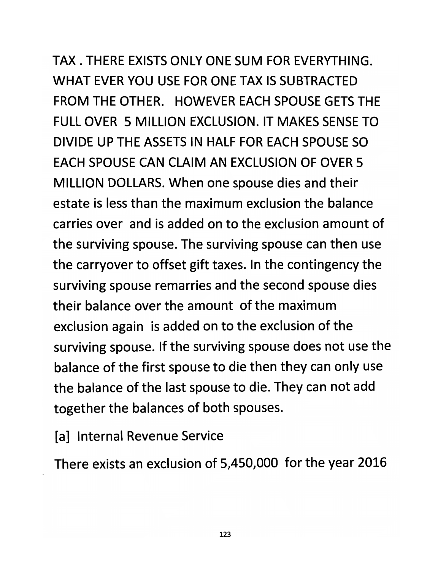*TAX . THERE EXISTS ONLY ONE SUM FOR EVERYTHING. WHAT EVER YOU USE FOR ONE TAX IS SUBTRACTED FROM THE OTHER. HOWEVER EACH SPOUSE GETS THE FULL OVER 5 MILLION EXCLUSION. IT MAKES SENSE TO DIVIDE UP THE ASSETS IN HALF FOR EACH SPOUSE SO EACH SPOUSE CAN CLAIM AN EXCLUSION OF OVER 5 MILLION DOLLARS. When one spouse dies and their estate is less than the maximum exclusion the balance carries over and is added on to the exclusion amount of the surviving spouse. The surviving spouse can then use the carryover to offset gift taxes. In the contingency the surviving spouse remarries and the second spouse dies their balance over the amount of the maximum exclusion again is added on to the exclusion of the surviving spouse. If the surviving spouse does not use the balance of the first spouse to die then they can only use the balance of the last spouse to die. They can not add together the balances of both spouses.*

*[a] Internal Revenue Service*

*There exists an exclusion of 5,450,000 for the year 2016*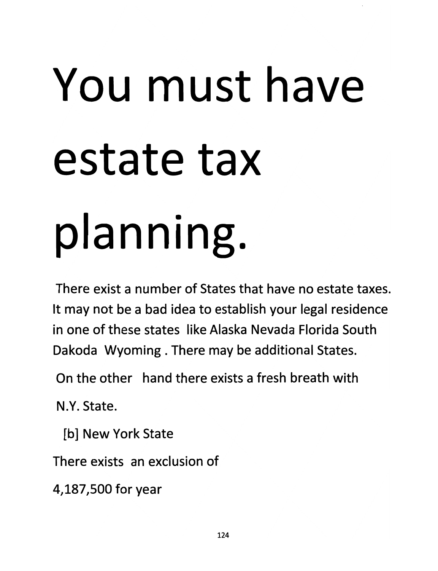### You must have estate tax planning.

*There exist a number of States that have no estate taxes. It may not be a bad idea to establish your legal residence in one of these states like Alaska Nevada Florida South Dakoda Wyoming . There may be additional States.*

*On the other hand there exists a fresh breath with*

*N.Y. State.*

*[b] New York State*

*There exists an exclusion of*

*4,187,500 for year*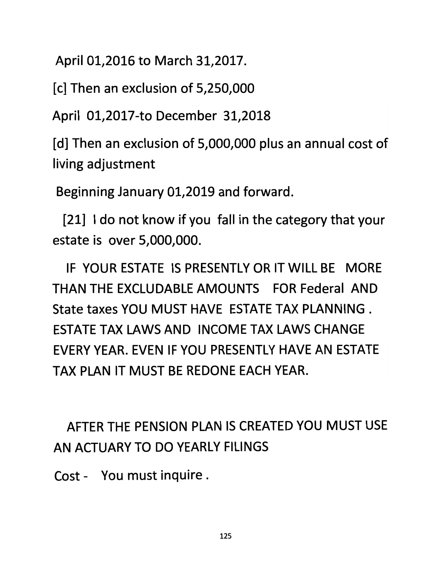*April 01,2016 to March 31,2017.*

*[c] Then an exclusion of 5,250,000*

*April 01,2017-to December 31,2018*

*[d] Then an exclusion of 5,000,000 plus an annual cost of living adjustment*

*Beginning January 01,2019 and forward.*

*[21] Ido not know if you fall in the category that your estate is over 5,000,000.*

*IF YOUR ESTATE IS PRESENTLY OR IT WILL BE MORE THAN THE EXCLUDABLE AMOUNTS FOR Federal AND State taxes YOU MUST HAVE ESTATE TAX PLANNING . ESTATE TAX LAWS AND INCOME TAX LAWS CHANGE EVERY YEAR. EVEN IF YOU PRESENTLY HAVE AN ESTATE TAX PLAN IT MUST BE REDONE EACH YEAR.*

*AFTER THE PENSION PLAN IS CREATED YOU MUST USE AN ACTUARY TO DO YEARLY FILINGS*

*Cost - You must inquire .*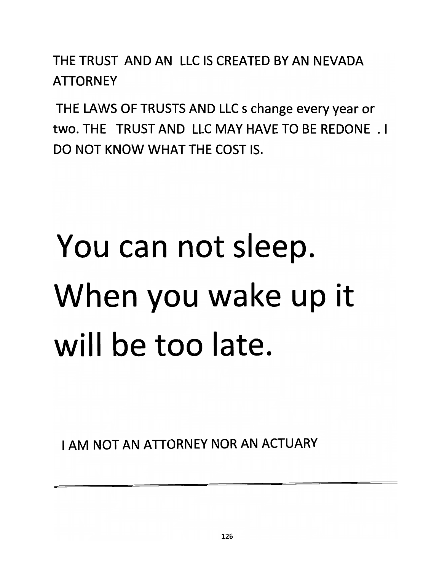*THE TRUST AND AN LLC IS CREATED BY AN NEVADA ATTORNEY*

*THE LAWS OF TRUSTS AND LLC s change every year or two. THE TRUST AND LLC MAY HAVE TO BE REDONE .1 DO NOT KNOW WHAT THE COST IS.*

#### You can not sleep. When you wake up it will be too late.

*I AM NOT AN ATTORNEY NOR AN ACTUARY*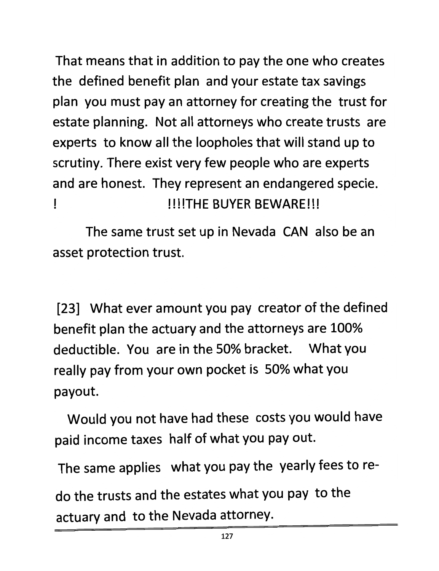*That means that in addition to pay the one who creates the defined benefit plan and your estate tax savings plan you must pay an attorney for creating the trust for estate planning. Not all attorneys who create trusts are experts to know all the loopholes that will stand up to scrutiny. There exist very few people who are experts and are honest. They represent an endangered specie. ! NMTHE BUYER BEWARE!!!*

*The same trust set up in Nevada CAN also be an asset protection trust.*

*[23] What ever amount you pay creator of the defined benefit plan the actuary and the attorneys are 100% deductible. You are in the 50% bracket. What you really pay from your own pocket is 50% what you payout.*

*Would you not have had these costs you would have paid income taxes half of what you pay out.*

*The same applies what you pay the yearly fees to re*

*do the trusts and the estates what you pay to the actuary and to the Nevada attorney.*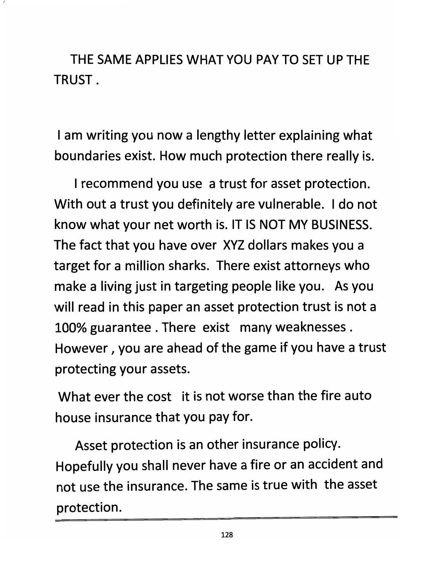*THE SAME APPLIES WHAT YOU PAY TO SET UP THE TRUST.*

*I am writing you now a lengthy letter explaining what boundaries exist. How much protection there really is.*

*Irecommend you use a trust for asset protection. With out a trust you definitely are vulnerable. I do not know what your net worth is. IT IS NOT MY BUSINESS. The fact that you have over XYZ dollars makes you a target for a million sharks. There exist attorneys who make a living just in targeting people like you. As you will read in this paper an asset protection trust is not a 100% guarantee . There exist many weaknesses . However, you are ahead of the game if you have a trust protecting your assets.*

*What ever the cost it is not worse than the fire auto house insurance that you pay for.*

*Asset protection is an other insurance policy. Hopefully you shall never have a fire or an accident and not use the insurance. The same is true with the asset protection.*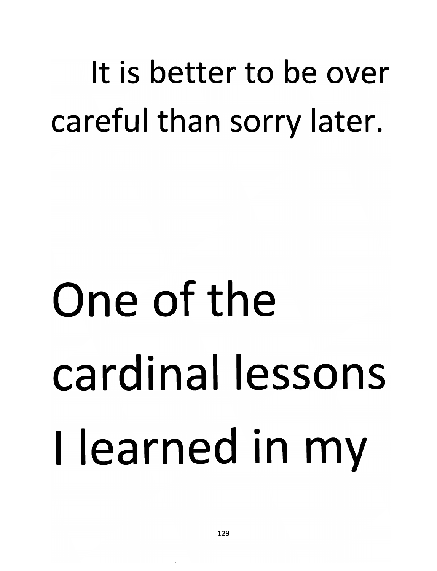#### *It is better to be over careful than sorry later.*

### One of the cardinal lessons I learned in my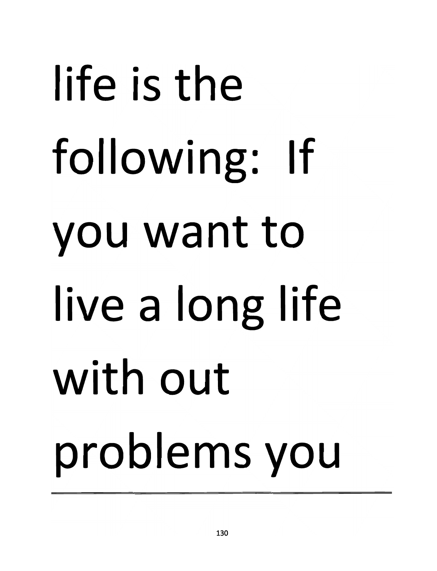# life is the following: If you want to ive <sup>a</sup> long life with out problems you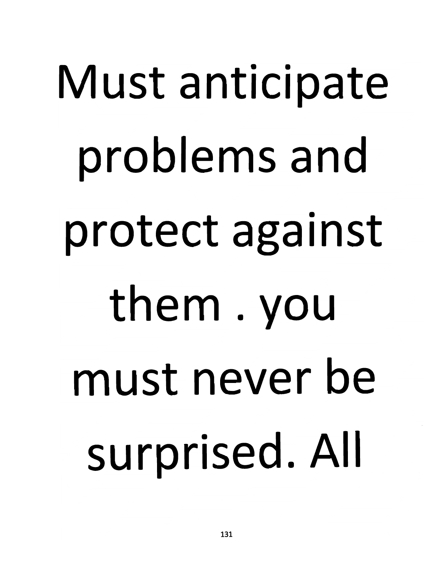# *Must anticipate problems and protect against them . you must never be surprised. All*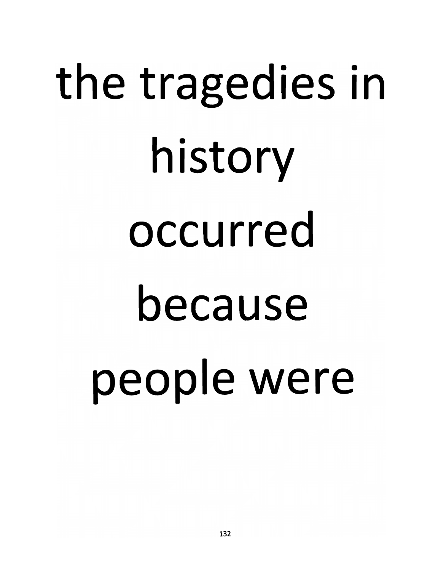# the tragedies in history occurred because people were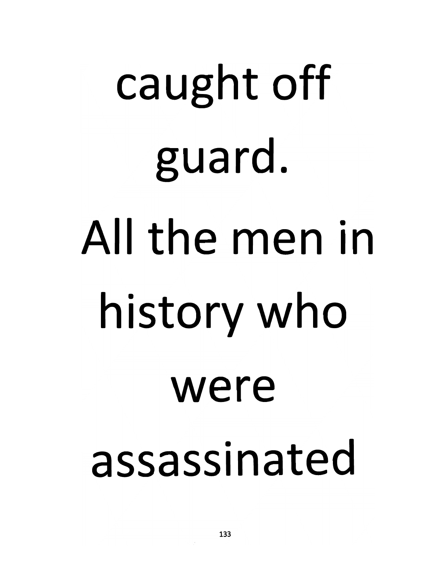# *caught off guard. All the men in history who were assassinated*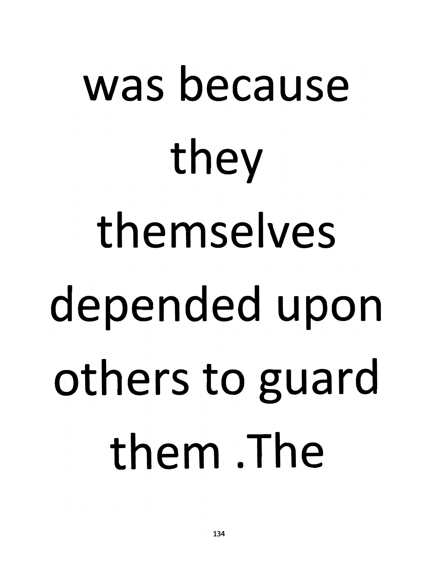# was because they themselves depended upon others to guard them The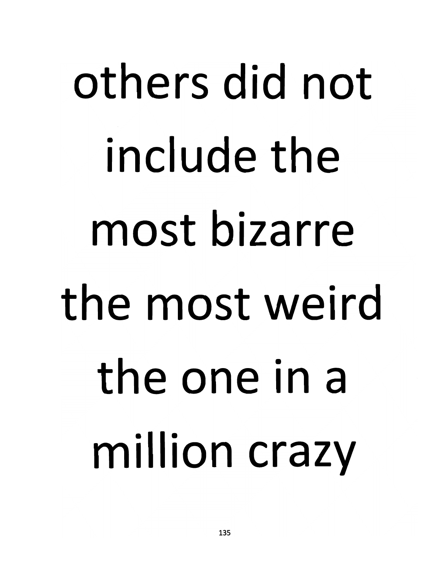# *others did not include the most bizarre the most weird the one in <sup>a</sup> million crazy*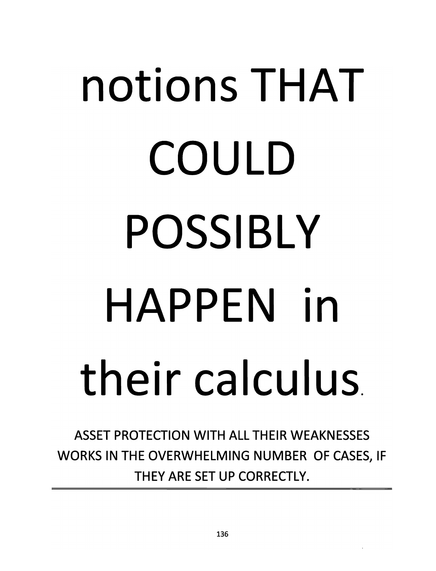# *notions THAT COULD POSSIBLY HAPPEN in their calculus*

*ASSET PROTECTION WITH ALL THEIR WEAKNESSES WORKS IN THE OVERWHELMING NUMBER OF CASES, IF THEY ARE SET UP CORRECTLY.*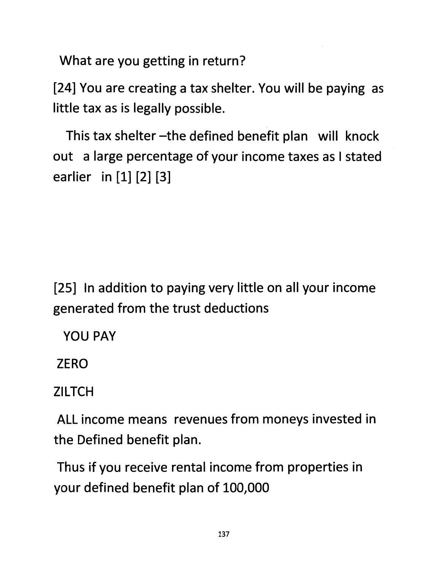*What are you getting in return?*

*[24] You are creating a tax shelter. You will be paying as little tax as is legally possible.*

*This tax shelter -the defined benefit plan will knock out a large percentage of your income taxes as Istated earlier in [1] [2] [3]*

*[25] In addition to paying very little on all your income generated from the trust deductions*

*YOU PAY*

*ZERO*

*ZILTCH*

*ALL income means revenues from moneys invested in the Defined benefit plan.*

*Thus if you receive rental income from properties in your defined benefit plan of 100,000*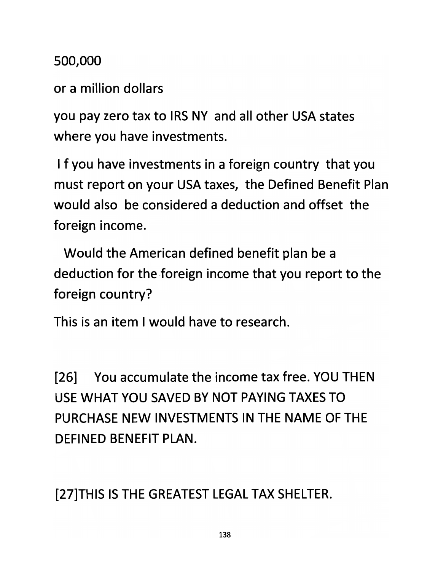*500,000*

*or a million dollars*

*you pay zero tax to IRS NY and all other USA states where you have investments.*

*I f you have investments in a foreign country that you must report on your USA taxes, the Defined Benefit Plan would also be considered a deduction and offset the foreign income.*

*Would the American defined benefit plan be a deduction for the foreign income that you report to the foreign country?*

*This is an item I would have to research.*

*[26] You accumulate the income tax free. YOU THEN USE WHAT YOU SAVED BY NOT PAYING TAXES TO PURCHASE NEW INVESTMENTS IN THE NAME OF THE DEFINED BENEFIT PLAN.*

*[27]THIS IS THE GREATEST LEGAL TAX SHELTER.*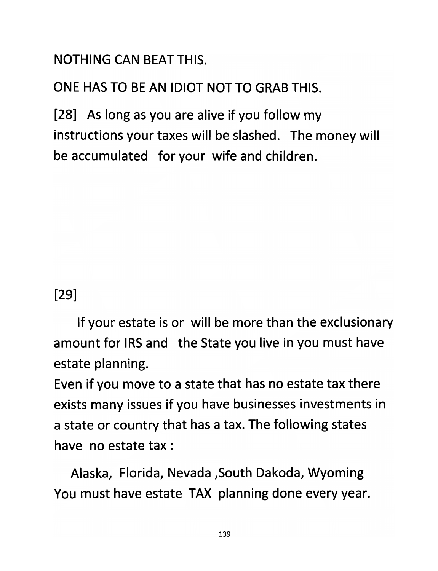*NOTHING CAN BEAT THIS.*

*ONE HAS TO BE AN IDIOT NOT TO GRAB THIS.*

*[28] As long as you are alive if you follow my instructions your taxes will be slashed. The money will be accumulated for your wife and children.*

*[29]*

*If your estate is or will be more than the exclusionary amount for IRS and the State you live in you must have estate planning.*

*Even if you move to a state that has no estate tax there exists many issues if you have businesses investments in a state or country that has a tax. The following states have no estate tax :*

*Alaska, Florida, Nevada ,South Dakoda, Wyoming You must have estate TAX planning done every year.*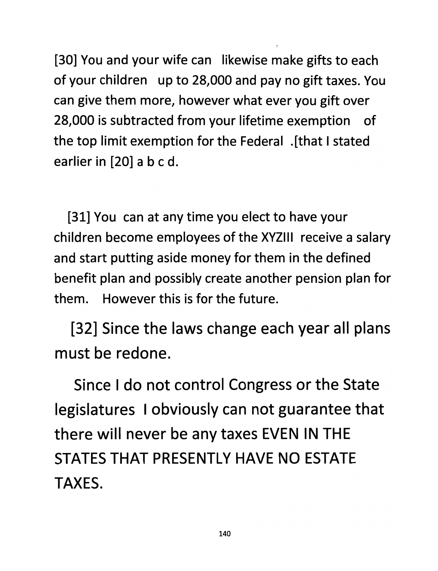*[30] You and your wife can likewise make gifts to each of your children up to 28,000 and pay no gift taxes. You can give them more, however what ever you gift over 28,000 is subtracted from your lifetime exemption of the top limit exemption for the Federal .[that Istated earlier in [20] abed.*

*[31] You can at any time you elect to have your children become employees of the XYZIII receive a salary and start putting aside money for them in the defined benefit plan and possibly create another pension plan for them. However this is for the future.*

*[32] Since the laws change each year all plans must be redone.*

*Since I do not control Congress or the State legislatures I obviously can not guarantee that there will never be any taxes EVEN IN THE STATES THAT PRESENTLY HAVE NO ESTATE TAXES.*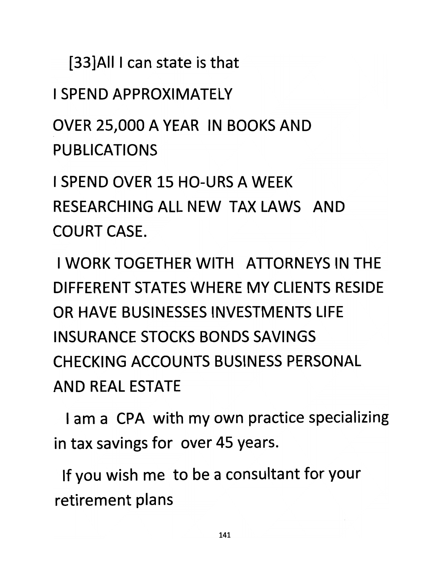*[33]AII I can state is that*

*I SPEND APPROXIMATELY*

*OVER 25,000 A YEAR IN BOOKS AND PUBLICATIONS*

*I SPEND OVER 15 HO-URS A WEEK RESEARCHING ALL NEW TAX LAWS AND COURT CASE.*

*I WORK TOGETHER WITH ATTORNEYS IN THE DIFFERENT STATES WHERE MY CLIENTS RESIDE OR HAVE BUSINESSES INVESTMENTS LIFE INSURANCE STOCKS BONDS SAVINGS CHECKING ACCOUNTS BUSINESS PERSONAL AND REAL ESTATE*

*I am a CPA with my own practice specializing in tax savings for over 45 years.*

*If you wish me to be a consultant for your retirement plans*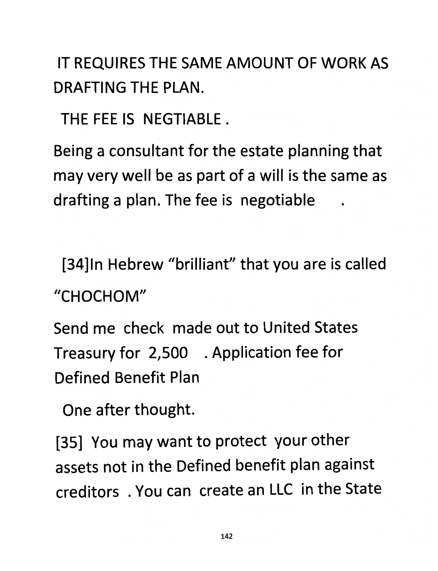*IT REQUIRES THE SAME AMOUNT OF WORK AS DRAFTING THE PLAN.*

*THE FEE IS NEGTIABLE .*

*Being a consultant for the estate planning that may very well be as part of a will is the same as drafting a plan. The fee is negotiable*

*[34]ln Hebrew "brilliant" that you are is called "CHOCHOM"*

*Send me check made out to United States Treasury for 2,500 . Application fee for Defined Benefit Plan*

*One after thought.*

*[35] You may want to protect your other assets not in the Defined benefit plan against creditors . You can create an LLC in the State*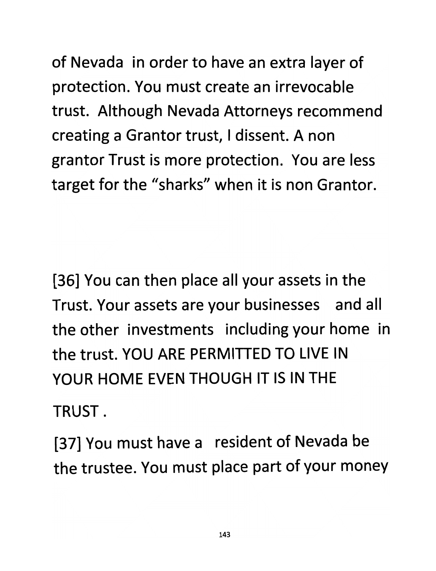*of Nevada in order to have an extra layer of protection. You must create an irrevocable trust. Although Nevada Attorneys recommend creating a Grantor trust, I dissent. A non grantor Trust is more protection. You are less target for the "sharks" when it is non Grantor.*

*[36] You can then place all your assets in the Trust. Your assets are your businesses and all the other investments including your home in the trust. YOU ARE PERMITTED TO LIVE IN YOUR HOME EVEN THOUGH IT IS IN THE TRUST.*

*[37] You must have a resident of Nevada be the trustee. You must place part of your money*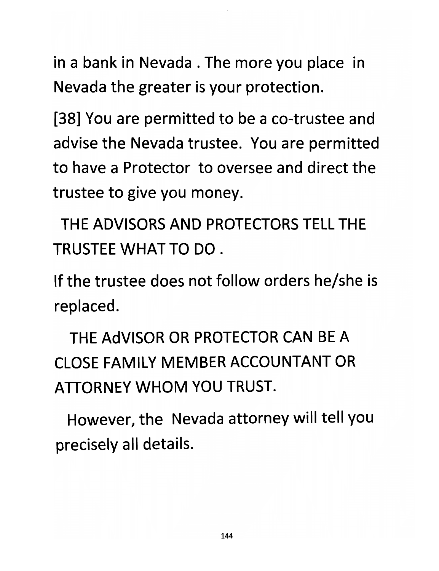*in a bank in Nevada . The more you place in Nevada the greater is your protection.*

*[38] You are permitted to be a co-trustee and advise the Nevada trustee. You are permitted to have a Protector to oversee and direct the trustee to give you money.*

*THE ADVISORS AND PROTECTORS TELL THE TRUSTEE WHAT TO DO.*

*If the trustee does not follow orders he/she is replaced.*

*THE AdVISOR OR PROTECTOR CAN BE A CLOSE FAMILY MEMBER ACCOUNTANT OR ATTORNEY WHOM YOU TRUST.*

*However, the Nevada attorney will tell you precisely all details.*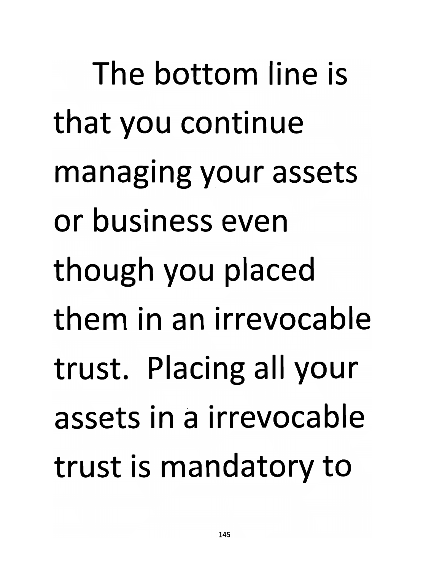*The bottom line is that you continue managing your assets or business even though you placed them in an irrevocable trust. Placing all your assets in a irrevocable trust is mandatory to*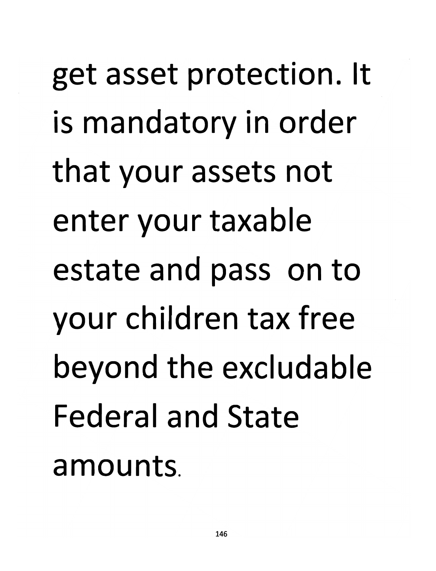*get asset protection. It is mandatory in order that your assets not enter your taxable estate and pass on to your children tax free beyond the excludable Federal and State amounts.*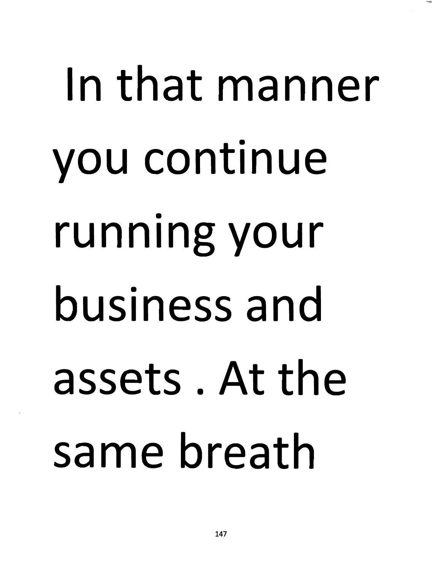# In that manner you continue running your business and assets. At the same breath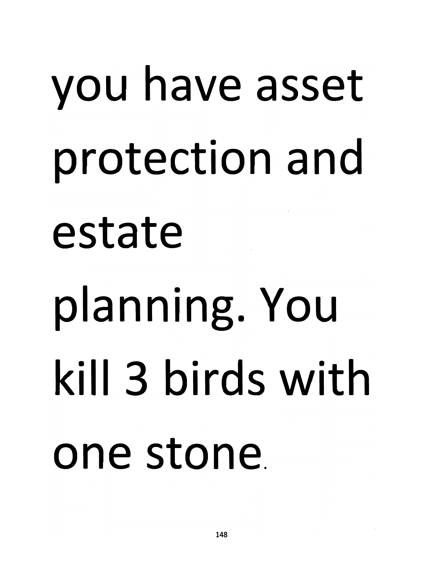# *you have asset protection and estate planning. You kill 3 birds with one stone*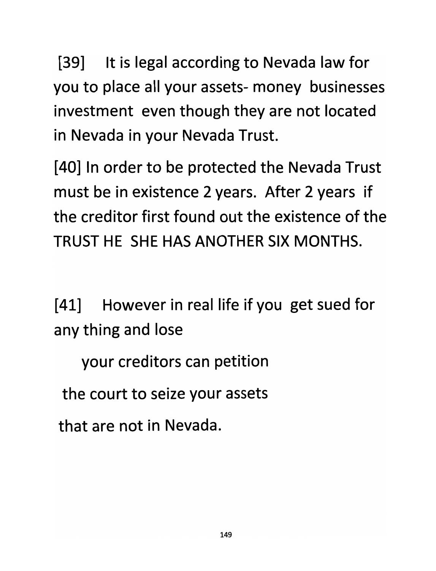*[39] It is legal according to Nevada law for you to place all your assets- money businesses investment even though they are not located in Nevada in your Nevada Trust.*

*[40] In order to be protected the Nevada Trust must be in existence 2 years. After 2 years if the creditor first found out the existence of the TRUST HE SHE HAS ANOTHER SIX MONTHS.*

*[41] However in real life if you get sued for any thing and lose*

*your creditors can petition*

*the court to seize your assets*

*that are not in Nevada.*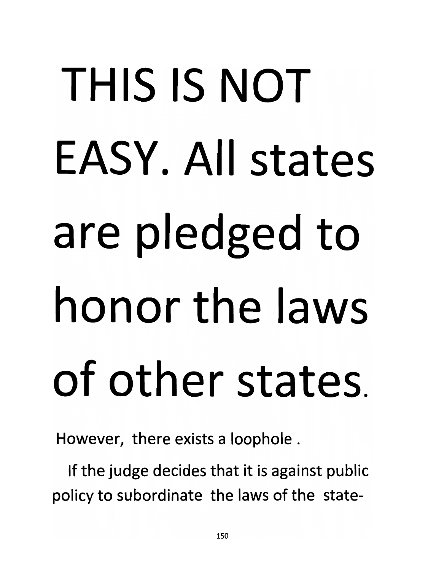# *THIS IS NOT EASY. All states are pledged to honor the laws of other states.*

*However, there exists a loophole .*

*If the judge decides that it is against public policy to subordinate the laws of the state-*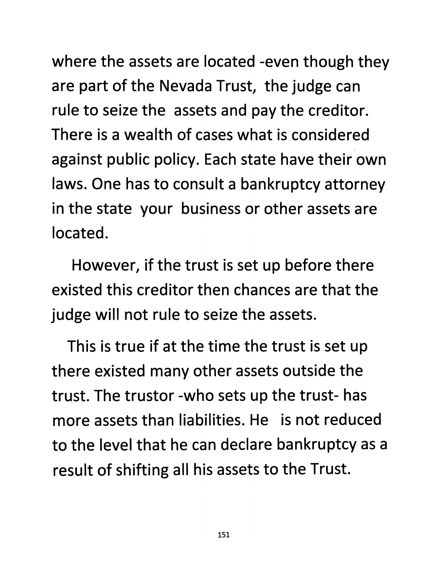*where the assets are located -even though they are part of the Nevada Trust, the judge can rule to seize the assets and pay the creditor. There is a wealth of cases what is considered against public policy. Each state have their own laws. One has to consult a bankruptcy attorney in the state your business or other assets are located.*

*However, if the trust is set up before there existed this creditor then chances are that the judge will not rule to seize the assets.*

*This is true if at the time the trust is set up there existed many other assets outside the trust. The trustor -who sets up the trust- has more assets than liabilities. He is not reduced to the level that he can declare bankruptcy as a result of shifting all his assets to the Trust.*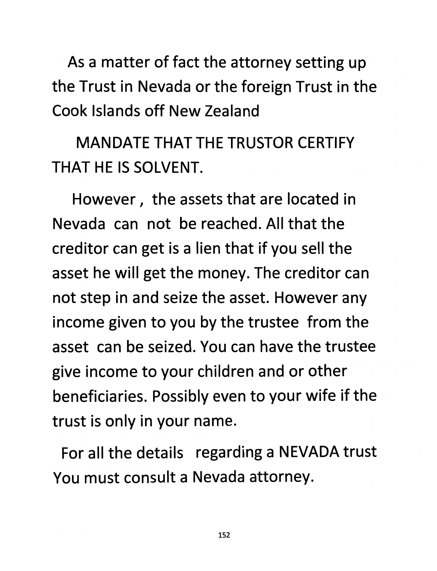*As a matter of fact the attorney setting up the Trust in Nevada or the foreign Trust in the Cook Islands off New Zealand*

*MANDATE THAT THE TRUSTOR CERTIFY THAT HE IS SOLVENT.*

*However, the assets that are located in Nevada can not be reached. All that the creditor can get is a lien that if you sell the asset he will get the money. The creditor can not step in and seize the asset. However any income given to you by the trustee from the asset can be seized. You can have the trustee give income to your children and or other beneficiaries. Possibly even to your wife if the trust is only in your name.*

*For all the details regarding a NEVADA trust You must consult a Nevada attorney.*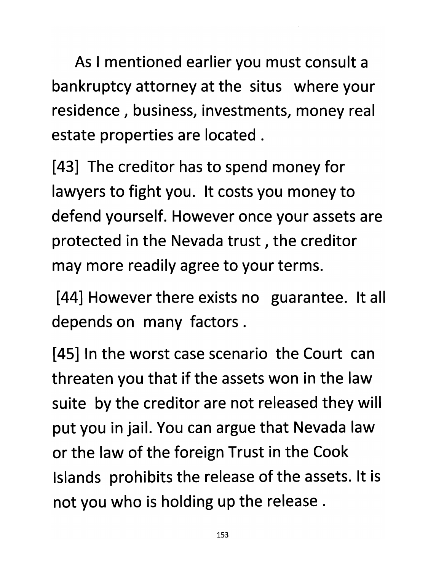*As I mentioned earlier you must consult a bankruptcy attorney at the situs where your residence, business, investments, money real estate properties are located .*

*[43] The creditor has to spend money for lawyers to fight you. It costs you money to defend yourself. However once your assets are protected in the Nevada trust, the creditor may more readily agree to your terms.*

*[44] However there exists no guarantee. It all depends on many factors .*

*[45] In the worst case scenario the Court can threaten you that if the assets won in the law suite by the creditor are not released they will put you in jail. You can argue that Nevada law or the law of the foreign Trust in the Cook Islands prohibits the release of the assets. It is not you who is holding up the release .*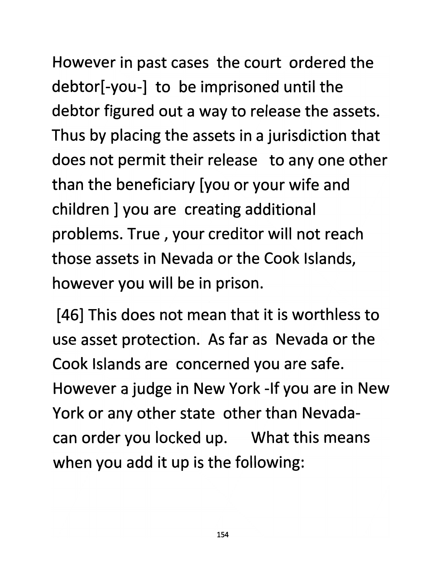*However in past cases the court ordered the debtor[-you-] to be imprisoned until the debtor figured out a way to release the assets. Thus by placing the assets in a jurisdiction that does not permit their release to any one other than the beneficiary [you or your wife and children ] you are creating additional problems. True, your creditor will not reach those assets in Nevada or the Cook Islands, however you will be in prison.*

*[46] This does not mean that it is worthless to use asset protection. As far as Nevada or the Cook Islands are concerned you are safe. However a judge in New York -If you are in New York or any other state other than Nevadacan order you locked up. What this means when you add it up is the following:*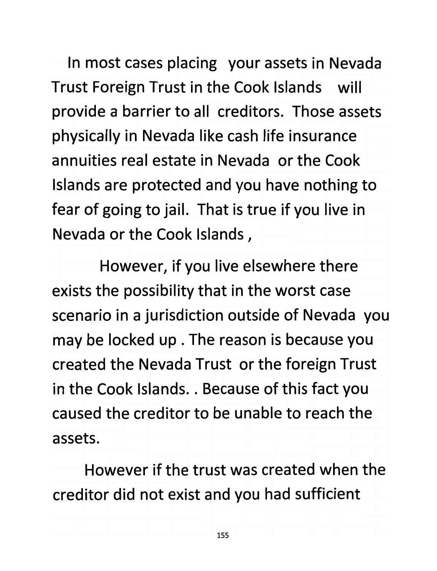*In most cases placing your assets in Nevada Trust Foreign Trust in the Cook Islands will provide a barrier to all creditors. Those assets physically in Nevada like cash life insurance annuities real estate in Nevada or the Cook Islands are protected and you have nothing to fear of going to jail. That istrue if you live in Nevada or the Cook Islands,*

*However, if you live elsewhere there exists the possibility that in the worst case scenario in a jurisdiction outside of Nevada you may be locked up . The reason is because you created the Nevada Trust or the foreign Trust in the Cook Islands.. Because of this fact you caused the creditor to be unable to reach the assets.*

*However if the trust was created when the creditor did not exist and you had sufficient*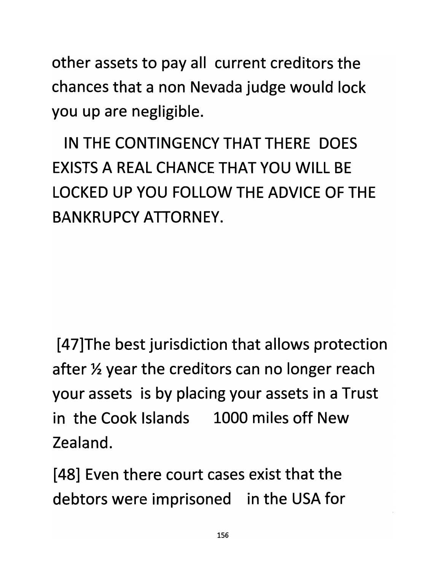*other assets to pay all current creditors the chances that a non Nevada judge would lock you up are negligible.*

*IN THE CONTINGENCY THAT THERE DOES EXISTS A REAL CHANCE THAT YOU WILL BE LOCKED UP YOU FOLLOW THE ADVICE OF THE BAN KRUPCY ATTORNEY.*

*[47]The best jurisdiction that allows protection after <sup>34</sup> year the creditors can no longer reach your assets is by placing your assets in a Trust in the Cook Islands 1000 miles off New Zealand.*

*[48] Even there court cases exist that the debtors were imprisoned in the USA for*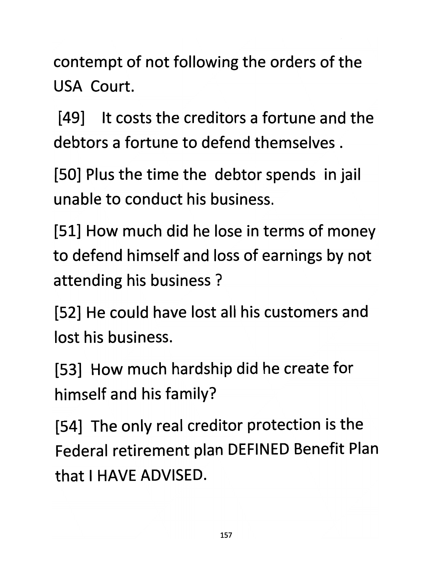*contempt of not following the orders of the USA Court.*

*[49] It costs the creditors a fortune and the debtors a fortune to defend themselves .*

*[50] Plus the time the debtor spends in jail unable to conduct his business.*

*[51] How much did he lose in terms of money to defend himself and loss of earnings by not attending his business ?*

*[52] He could have lost all his customers and lost his business.*

*[53] How much hardship did he create for himself and his family?*

*[54] The only real creditor protection is the Federal retirement plan DEFINED Benefit Plan that I HAVE ADVISED.*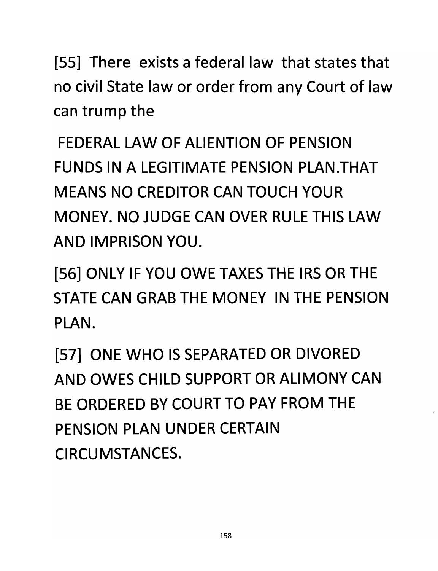*[55] There exists a federal law that states that no civil State law or order from any Court of law can trump the*

*FEDERAL LAW OF ALIENTION OF PENSION FUNDS IN A LEGITIMATE PENSION PLAN.THAT MEANS NO CREDITOR CAN TOUCH YOUR MONEY. NO JUDGE CAN OVER RULE THIS LAW AND IMPRISON YOU.*

*[56] ONLY IF YOU OWE TAXES THE IRS OR THE STATE CAN GRAB THE MONEY IN THE PENSION PLAN.*

*[57] ONE WHO IS SEPARATED OR DIVORED AND OWES CHILD SUPPORT OR ALIMONY CAN BE ORDERED BY COURT TO PAY FROM THE PENSION PLAN UNDER CERTAIN CIRCUMSTANCES.*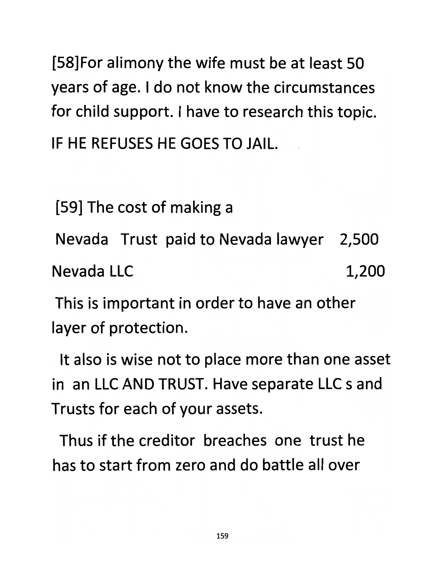*[58]For alimony the wife must be at least 50 years of age. I do not know the circumstances for child support. I have to research this topic. IF HE REFUSES HE GOES TO JAIL.*

*[59] The cost of making a*

*Nevada Trust paid to Nevada lawyer 2,500*

*Nevada LLC 1,200*

*This is important in order to have an other layer of protection.*

*It also is wise not to place more than one asset in an LLC AND TRUST. Have separate LLC s and Trusts for each of your assets.*

*Thus if the creditor breaches one trust he has to start from zero and do battle all over*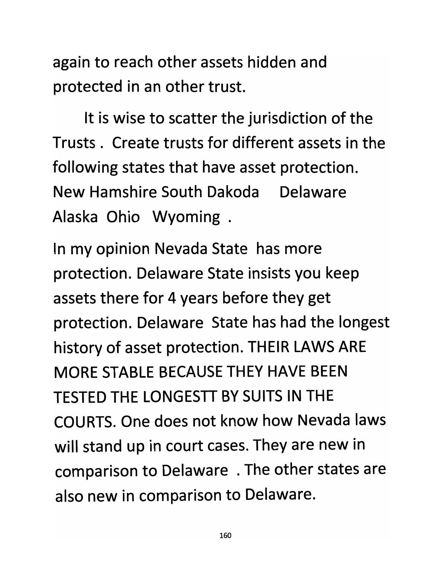*again to reach other assets hidden and protected in an other trust.*

*It is wise to scatter the jurisdiction of the Trusts . Create trusts for different assets in the following states that have asset protection. New Hamshire South Dakoda Delaware Alaska Ohio Wyoming .*

*In my opinion Nevada State has more protection. Delaware State insists you keep assets there for 4 years before they get protection. Delaware State has had the longest history of asset protection. THEIR LAWS ARE MORE STABLE BECAUSE THEY HAVE BEEN TESTED THE LONGESTT BY SUITS IN THE COURTS. One does not know how Nevada laws will stand up in court cases. They are new in comparison to Delaware . The other states are also new in comparison to Delaware.*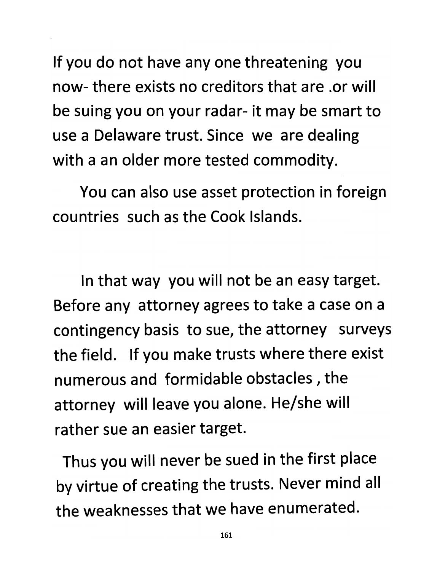*If you do not have any one threatening you now- there exists no creditors that are .or will be suing you on your radar- it may be smart to use a Delaware trust. Since we are dealing with a an older more tested commodity.*

*You can also use asset protection in foreign countries such as the Cook Islands.*

*In that way you will not be an easy target. Before any attorney agrees to take a case on a contingency basis to sue, the attorney surveys the field. If you make trusts where there exist numerous and formidable obstacles, the attorney will leave you alone. He/she will rather sue an easier target.*

*Thus you will never be sued in the first place by virtue of creating the trusts. Never mind all the weaknesses that we have enumerated.*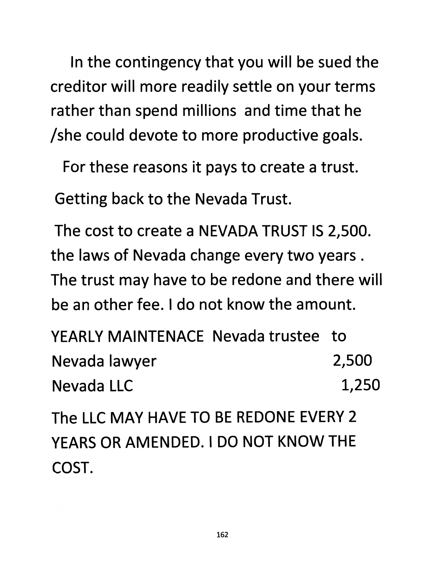*In the contingency that you will be sued the creditor will more readily settle on your terms rather than spend millions and time that he /she could devote to more productive goals.*

*For these reasons it pays to create a trust.*

*Getting back to the Nevada Trust.*

*The cost to create a NEVADA TRUST IS 2,500. the laws of Nevada change every two years . The trust may have to be redone and there will be an other fee. I do not know the amount.*

*YEARLY MAINTENACE Nevada trustee to Nevada lawyer 2,500 Nevada LLC 1,250*

*The LLC MAY HAVE TO BE REDONE EVERY 2 YEARS OR AMENDED. I DO NOT KNOW THE COST.*